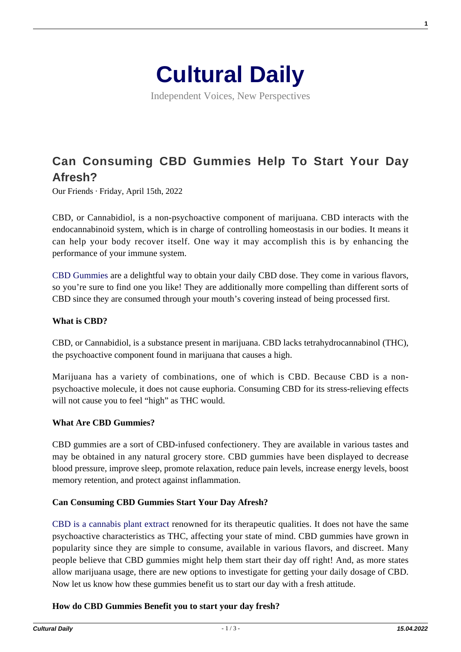

Independent Voices, New Perspectives

# **[Can Consuming CBD Gummies Help To Start Your Day](https://culturaldaily.com/can-consuming-cbd-gummies-help-to-start-your-day-afresh/) [Afresh?](https://culturaldaily.com/can-consuming-cbd-gummies-help-to-start-your-day-afresh/)**

Our Friends · Friday, April 15th, 2022

CBD, or Cannabidiol, is a non-psychoactive component of marijuana. CBD interacts with the endocannabinoid system, which is in charge of controlling homeostasis in our bodies. It means it can help your body recover itself. One way it may accomplish this is by enhancing the performance of your immune system.

[CBD Gummies](https://cbd.co/cbd-edibles/cbd-gummies/) are a delightful way to obtain your daily CBD dose. They come in various flavors, so you're sure to find one you like! They are additionally more compelling than different sorts of CBD since they are consumed through your mouth's covering instead of being processed first.

#### **What is CBD?**

CBD, or Cannabidiol, is a substance present in marijuana. CBD lacks tetrahydrocannabinol (THC), the psychoactive component found in marijuana that causes a high.

Marijuana has a variety of combinations, one of which is CBD. Because CBD is a nonpsychoactive molecule, it does not cause euphoria. Consuming CBD for its stress-relieving effects will not cause you to feel "high" as THC would.

#### **What Are CBD Gummies?**

CBD gummies are a sort of CBD-infused confectionery. They are available in various tastes and may be obtained in any natural grocery store. CBD gummies have been displayed to decrease blood pressure, improve sleep, promote relaxation, reduce pain levels, increase energy levels, boost memory retention, and protect against inflammation.

## **Can Consuming CBD Gummies Start Your Day Afresh?**

[CBD is a cannabis plant extract](https://www.health.harvard.edu/blog/cannabidiol-cbd-what-we-know-and-what-we-dont-2018082414476) renowned for its therapeutic qualities. It does not have the same psychoactive characteristics as THC, affecting your state of mind. CBD gummies have grown in popularity since they are simple to consume, available in various flavors, and discreet. Many people believe that CBD gummies might help them start their day off right! And, as more states allow marijuana usage, there are new options to investigate for getting your daily dosage of CBD. Now let us know how these gummies benefit us to start our day with a fresh attitude.

#### **How do CBD Gummies Benefit you to start your day fresh?**

**1**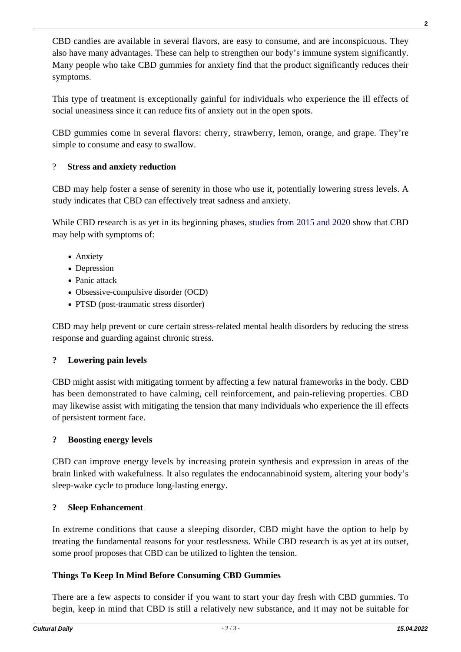CBD candies are available in several flavors, are easy to consume, and are inconspicuous. They also have many advantages. These can help to strengthen our body's immune system significantly. Many people who take CBD gummies for anxiety find that the product significantly reduces their symptoms.

This type of treatment is exceptionally gainful for individuals who experience the ill effects of social uneasiness since it can reduce fits of anxiety out in the open spots.

CBD gummies come in several flavors: cherry, strawberry, lemon, orange, and grape. They're simple to consume and easy to swallow.

## ? **Stress and anxiety reduction**

CBD may help foster a sense of serenity in those who use it, potentially lowering stress levels. A study indicates that CBD can effectively treat sadness and anxiety.

While CBD research is as yet in its beginning phases, [studies from 2015 and 2020](https://www.ncbi.nlm.nih.gov/pmc/articles/PMC4604171/) show that CBD may help with symptoms of:

- Anxiety
- Depression
- Panic attack
- Obsessive-compulsive disorder (OCD)
- PTSD (post-traumatic stress disorder)

CBD may help prevent or cure certain stress-related mental health disorders by reducing the stress response and guarding against chronic stress.

## **? Lowering pain levels**

CBD might assist with mitigating torment by affecting a few natural frameworks in the body. CBD has been demonstrated to have calming, cell reinforcement, and pain-relieving properties. CBD may likewise assist with mitigating the tension that many individuals who experience the ill effects of persistent torment face.

## **? Boosting energy levels**

CBD can improve energy levels by increasing protein synthesis and expression in areas of the brain linked with wakefulness. It also regulates the endocannabinoid system, altering your body's sleep-wake cycle to produce long-lasting energy.

## **? Sleep Enhancement**

In extreme conditions that cause a sleeping disorder, CBD might have the option to help by treating the fundamental reasons for your restlessness. While CBD research is as yet at its outset, some proof proposes that CBD can be utilized to lighten the tension.

## **Things To Keep In Mind Before Consuming CBD Gummies**

There are a few aspects to consider if you want to start your day fresh with CBD gummies. To begin, keep in mind that CBD is still a relatively new substance, and it may not be suitable for